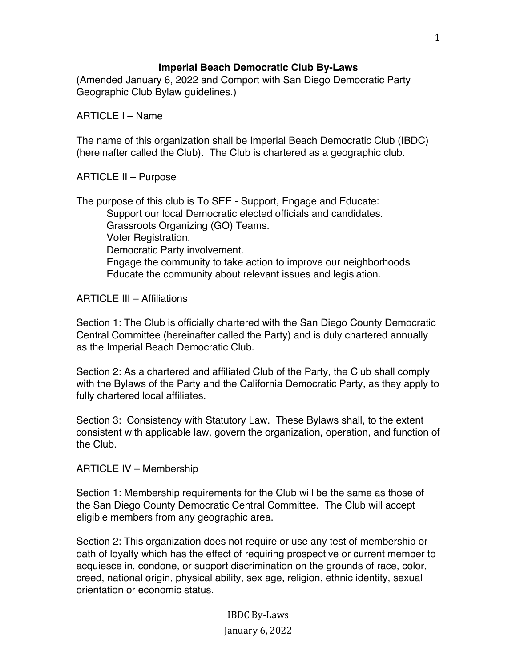## **Imperial Beach Democratic Club By-Laws**

(Amended January 6, 2022 and Comport with San Diego Democratic Party Geographic Club Bylaw guidelines.)

ARTICLE I – Name

The name of this organization shall be *Imperial Beach Democratic Club* (IBDC) (hereinafter called the Club). The Club is chartered as a geographic club.

ARTICLE II – Purpose

The purpose of this club is To SEE - Support, Engage and Educate: Support our local Democratic elected officials and candidates. Grassroots Organizing (GO) Teams. Voter Registration. Democratic Party involvement. Engage the community to take action to improve our neighborhoods Educate the community about relevant issues and legislation.

ARTICLE III – Affiliations

Section 1: The Club is officially chartered with the San Diego County Democratic Central Committee (hereinafter called the Party) and is duly chartered annually as the Imperial Beach Democratic Club.

Section 2: As a chartered and affiliated Club of the Party, the Club shall comply with the Bylaws of the Party and the California Democratic Party, as they apply to fully chartered local affiliates.

Section 3: Consistency with Statutory Law. These Bylaws shall, to the extent consistent with applicable law, govern the organization, operation, and function of the Club.

ARTICLE IV – Membership

Section 1: Membership requirements for the Club will be the same as those of the San Diego County Democratic Central Committee. The Club will accept eligible members from any geographic area.

Section 2: This organization does not require or use any test of membership or oath of loyalty which has the effect of requiring prospective or current member to acquiesce in, condone, or support discrimination on the grounds of race, color, creed, national origin, physical ability, sex age, religion, ethnic identity, sexual orientation or economic status.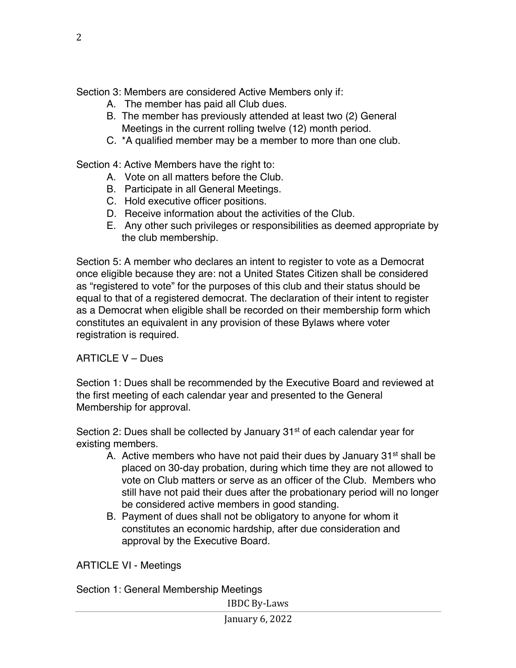Section 3: Members are considered Active Members only if:

- A. The member has paid all Club dues.
- B. The member has previously attended at least two (2) General Meetings in the current rolling twelve (12) month period.
- C. \*A qualified member may be a member to more than one club.

Section 4: Active Members have the right to:

- A. Vote on all matters before the Club.
- B. Participate in all General Meetings.
- C. Hold executive officer positions.
- D. Receive information about the activities of the Club.
- E. Any other such privileges or responsibilities as deemed appropriate by the club membership.

Section 5: A member who declares an intent to register to vote as a Democrat once eligible because they are: not a United States Citizen shall be considered as "registered to vote" for the purposes of this club and their status should be equal to that of a registered democrat. The declaration of their intent to register as a Democrat when eligible shall be recorded on their membership form which constitutes an equivalent in any provision of these Bylaws where voter registration is required.

## ARTICLE V – Dues

Section 1: Dues shall be recommended by the Executive Board and reviewed at the first meeting of each calendar year and presented to the General Membership for approval.

Section 2: Dues shall be collected by January  $31<sup>st</sup>$  of each calendar year for existing members.

- A. Active members who have not paid their dues by January  $31<sup>st</sup>$  shall be placed on 30-day probation, during which time they are not allowed to vote on Club matters or serve as an officer of the Club. Members who still have not paid their dues after the probationary period will no longer be considered active members in good standing.
- B. Payment of dues shall not be obligatory to anyone for whom it constitutes an economic hardship, after due consideration and approval by the Executive Board.

ARTICLE VI - Meetings

Section 1: General Membership Meetings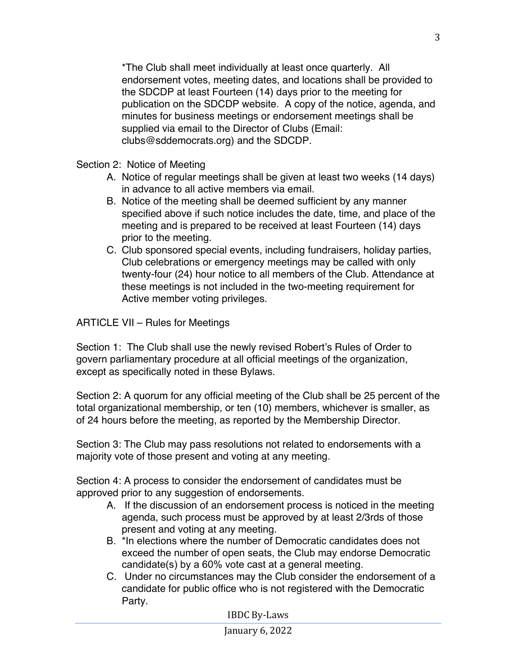\*The Club shall meet individually at least once quarterly. All endorsement votes, meeting dates, and locations shall be provided to the SDCDP at least Fourteen (14) days prior to the meeting for publication on the SDCDP website. A copy of the notice, agenda, and minutes for business meetings or endorsement meetings shall be supplied via email to the Director of Clubs (Email: clubs@sddemocrats.org) and the SDCDP.

Section 2: Notice of Meeting

- A. Notice of regular meetings shall be given at least two weeks (14 days) in advance to all active members via email.
- B. Notice of the meeting shall be deemed sufficient by any manner specified above if such notice includes the date, time, and place of the meeting and is prepared to be received at least Fourteen (14) days prior to the meeting.
- C. Club sponsored special events, including fundraisers, holiday parties, Club celebrations or emergency meetings may be called with only twenty-four (24) hour notice to all members of the Club. Attendance at these meetings is not included in the two-meeting requirement for Active member voting privileges.

ARTICLE VII – Rules for Meetings

Section 1: The Club shall use the newly revised Robert's Rules of Order to govern parliamentary procedure at all official meetings of the organization, except as specifically noted in these Bylaws.

Section 2: A quorum for any official meeting of the Club shall be 25 percent of the total organizational membership, or ten (10) members, whichever is smaller, as of 24 hours before the meeting, as reported by the Membership Director.

Section 3: The Club may pass resolutions not related to endorsements with a majority vote of those present and voting at any meeting.

Section 4: A process to consider the endorsement of candidates must be approved prior to any suggestion of endorsements.

- A. If the discussion of an endorsement process is noticed in the meeting agenda, such process must be approved by at least 2/3rds of those present and voting at any meeting.
- B. \*In elections where the number of Democratic candidates does not exceed the number of open seats, the Club may endorse Democratic candidate(s) by a 60% vote cast at a general meeting.
- C. Under no circumstances may the Club consider the endorsement of a candidate for public office who is not registered with the Democratic Party.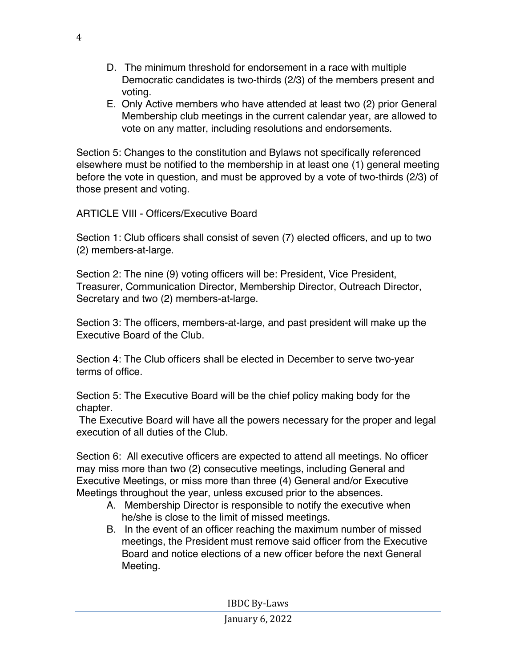- D. The minimum threshold for endorsement in a race with multiple Democratic candidates is two-thirds (2/3) of the members present and voting.
- E. Only Active members who have attended at least two (2) prior General Membership club meetings in the current calendar year, are allowed to vote on any matter, including resolutions and endorsements.

Section 5: Changes to the constitution and Bylaws not specifically referenced elsewhere must be notified to the membership in at least one (1) general meeting before the vote in question, and must be approved by a vote of two-thirds (2/3) of those present and voting.

ARTICLE VIII - Officers/Executive Board

Section 1: Club officers shall consist of seven (7) elected officers, and up to two (2) members-at-large.

Section 2: The nine (9) voting officers will be: President, Vice President, Treasurer, Communication Director, Membership Director, Outreach Director, Secretary and two (2) members-at-large.

Section 3: The officers, members-at-large, and past president will make up the Executive Board of the Club.

Section 4: The Club officers shall be elected in December to serve two-year terms of office.

Section 5: The Executive Board will be the chief policy making body for the chapter.

The Executive Board will have all the powers necessary for the proper and legal execution of all duties of the Club.

Section 6: All executive officers are expected to attend all meetings. No officer may miss more than two (2) consecutive meetings, including General and Executive Meetings, or miss more than three (4) General and/or Executive Meetings throughout the year, unless excused prior to the absences.

- A. Membership Director is responsible to notify the executive when he/she is close to the limit of missed meetings.
- B. In the event of an officer reaching the maximum number of missed meetings, the President must remove said officer from the Executive Board and notice elections of a new officer before the next General Meeting.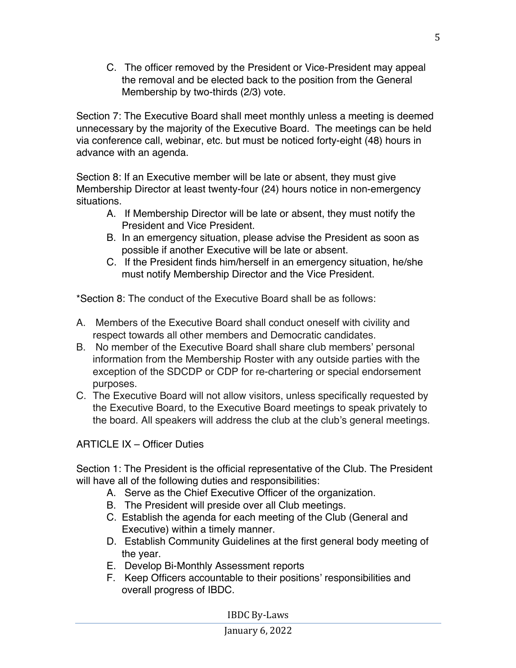C. The officer removed by the President or Vice-President may appeal the removal and be elected back to the position from the General Membership by two-thirds (2/3) vote.

Section 7: The Executive Board shall meet monthly unless a meeting is deemed unnecessary by the majority of the Executive Board. The meetings can be held via conference call, webinar, etc. but must be noticed forty-eight (48) hours in advance with an agenda.

Section 8: If an Executive member will be late or absent, they must give Membership Director at least twenty-four (24) hours notice in non-emergency situations.

- A. If Membership Director will be late or absent, they must notify the President and Vice President.
- B. In an emergency situation, please advise the President as soon as possible if another Executive will be late or absent.
- C. If the President finds him/herself in an emergency situation, he/she must notify Membership Director and the Vice President.

\*Section 8: The conduct of the Executive Board shall be as follows:

- A. Members of the Executive Board shall conduct oneself with civility and respect towards all other members and Democratic candidates.
- B. No member of the Executive Board shall share club members' personal information from the Membership Roster with any outside parties with the exception of the SDCDP or CDP for re-chartering or special endorsement purposes.
- C. The Executive Board will not allow visitors, unless specifically requested by the Executive Board, to the Executive Board meetings to speak privately to the board. All speakers will address the club at the club's general meetings.

ARTICLE IX – Officer Duties

Section 1: The President is the official representative of the Club. The President will have all of the following duties and responsibilities:

- A. Serve as the Chief Executive Officer of the organization.
- B. The President will preside over all Club meetings.
- C. Establish the agenda for each meeting of the Club (General and Executive) within a timely manner.
- D. Establish Community Guidelines at the first general body meeting of the year.
- E. Develop Bi-Monthly Assessment reports
- F. Keep Officers accountable to their positions' responsibilities and overall progress of IBDC.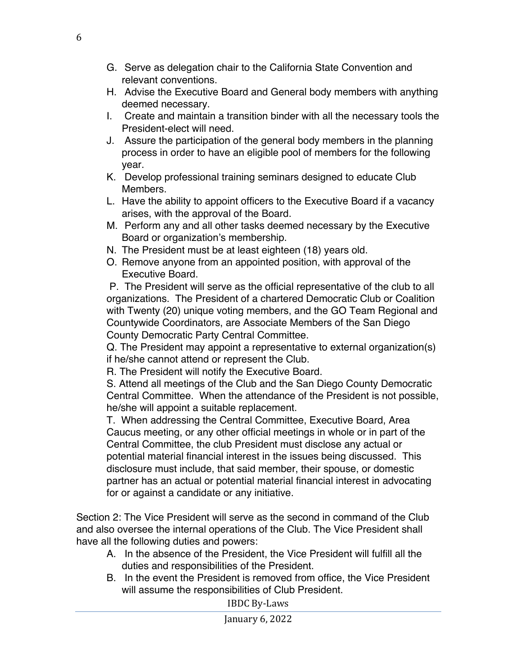- G. Serve as delegation chair to the California State Convention and relevant conventions.
- H. Advise the Executive Board and General body members with anything deemed necessary.
- I. Create and maintain a transition binder with all the necessary tools the President-elect will need.
- J. Assure the participation of the general body members in the planning process in order to have an eligible pool of members for the following year.
- K. Develop professional training seminars designed to educate Club Members.
- L. Have the ability to appoint officers to the Executive Board if a vacancy arises, with the approval of the Board.
- M. Perform any and all other tasks deemed necessary by the Executive Board or organization's membership.
- N. The President must be at least eighteen (18) years old.
- O. Remove anyone from an appointed position, with approval of the Executive Board.

P. The President will serve as the official representative of the club to all organizations. The President of a chartered Democratic Club or Coalition with Twenty (20) unique voting members, and the GO Team Regional and Countywide Coordinators, are Associate Members of the San Diego County Democratic Party Central Committee.

Q. The President may appoint a representative to external organization(s) if he/she cannot attend or represent the Club.

R. The President will notify the Executive Board.

S. Attend all meetings of the Club and the San Diego County Democratic Central Committee. When the attendance of the President is not possible, he/she will appoint a suitable replacement.

T. When addressing the Central Committee, Executive Board, Area Caucus meeting, or any other official meetings in whole or in part of the Central Committee, the club President must disclose any actual or potential material financial interest in the issues being discussed. This disclosure must include, that said member, their spouse, or domestic partner has an actual or potential material financial interest in advocating for or against a candidate or any initiative.

Section 2: The Vice President will serve as the second in command of the Club and also oversee the internal operations of the Club. The Vice President shall have all the following duties and powers:

- A. In the absence of the President, the Vice President will fulfill all the duties and responsibilities of the President.
- B. In the event the President is removed from office, the Vice President will assume the responsibilities of Club President.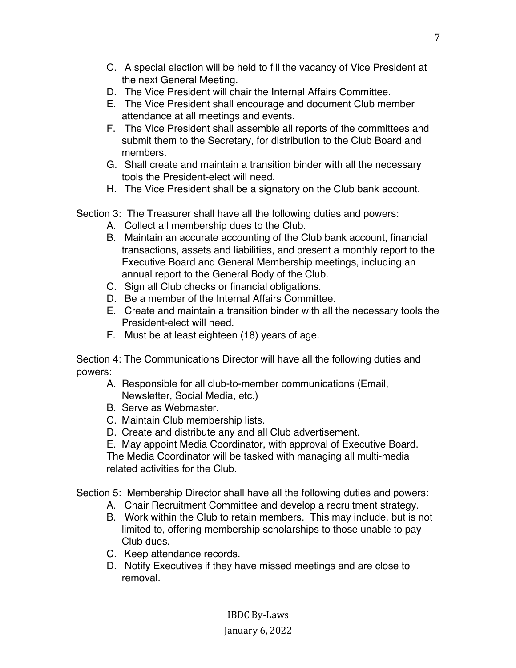- C. A special election will be held to fill the vacancy of Vice President at the next General Meeting.
- D. The Vice President will chair the Internal Affairs Committee.
- E. The Vice President shall encourage and document Club member attendance at all meetings and events.
- F. The Vice President shall assemble all reports of the committees and submit them to the Secretary, for distribution to the Club Board and members.
- G. Shall create and maintain a transition binder with all the necessary tools the President-elect will need.
- H. The Vice President shall be a signatory on the Club bank account.
- Section 3: The Treasurer shall have all the following duties and powers:
	- A. Collect all membership dues to the Club.
	- B. Maintain an accurate accounting of the Club bank account, financial transactions, assets and liabilities, and present a monthly report to the Executive Board and General Membership meetings, including an annual report to the General Body of the Club.
	- C. Sign all Club checks or financial obligations.
	- D. Be a member of the Internal Affairs Committee.
	- E. Create and maintain a transition binder with all the necessary tools the President-elect will need.
	- F. Must be at least eighteen (18) years of age.

Section 4: The Communications Director will have all the following duties and powers:

- A. Responsible for all club-to-member communications (Email, Newsletter, Social Media, etc.)
- B. Serve as Webmaster.
- C. Maintain Club membership lists.
- D. Create and distribute any and all Club advertisement.
- E. May appoint Media Coordinator, with approval of Executive Board.

The Media Coordinator will be tasked with managing all multi-media related activities for the Club.

Section 5: Membership Director shall have all the following duties and powers:

- A. Chair Recruitment Committee and develop a recruitment strategy.
- B. Work within the Club to retain members. This may include, but is not limited to, offering membership scholarships to those unable to pay Club dues.
- C. Keep attendance records.
- D. Notify Executives if they have missed meetings and are close to removal.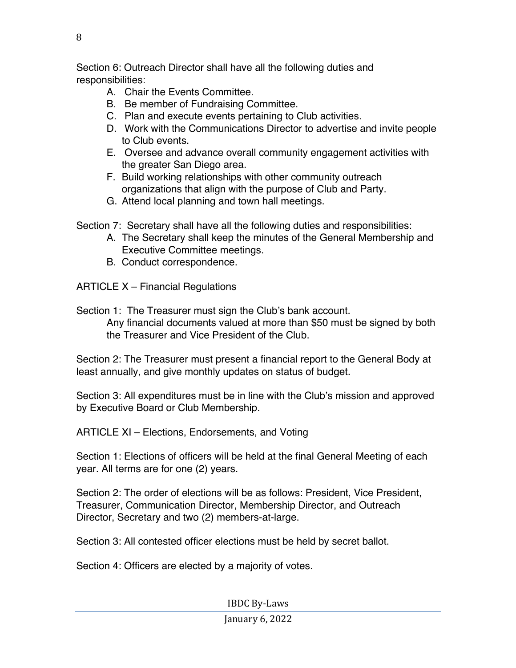Section 6: Outreach Director shall have all the following duties and responsibilities:

- A. Chair the Events Committee.
- B. Be member of Fundraising Committee.
- C. Plan and execute events pertaining to Club activities.
- D. Work with the Communications Director to advertise and invite people to Club events.
- E. Oversee and advance overall community engagement activities with the greater San Diego area.
- F. Build working relationships with other community outreach organizations that align with the purpose of Club and Party.
- G. Attend local planning and town hall meetings.
- Section 7: Secretary shall have all the following duties and responsibilities:
	- A. The Secretary shall keep the minutes of the General Membership and Executive Committee meetings.
	- B. Conduct correspondence.

ARTICLE X – Financial Regulations

Section 1: The Treasurer must sign the Club's bank account. Any financial documents valued at more than \$50 must be signed by both the Treasurer and Vice President of the Club.

Section 2: The Treasurer must present a financial report to the General Body at least annually, and give monthly updates on status of budget.

Section 3: All expenditures must be in line with the Club's mission and approved by Executive Board or Club Membership.

ARTICLE XI – Elections, Endorsements, and Voting

Section 1: Elections of officers will be held at the final General Meeting of each year. All terms are for one (2) years.

Section 2: The order of elections will be as follows: President, Vice President, Treasurer, Communication Director, Membership Director, and Outreach Director, Secretary and two (2) members-at-large.

Section 3: All contested officer elections must be held by secret ballot.

Section 4: Officers are elected by a majority of votes.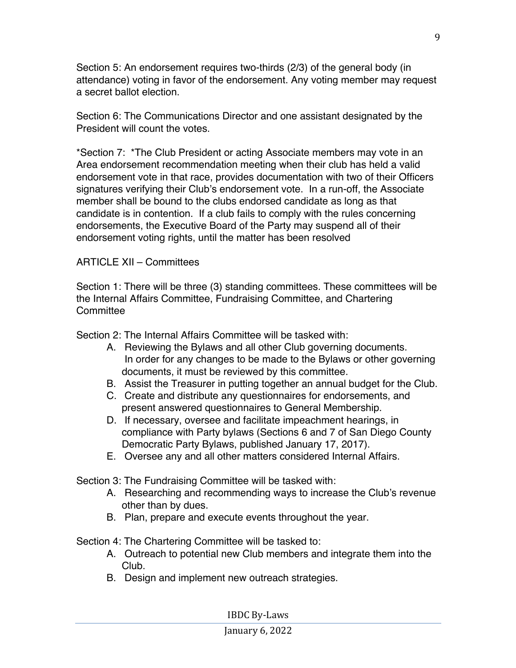Section 5: An endorsement requires two-thirds (2/3) of the general body (in attendance) voting in favor of the endorsement. Any voting member may request a secret ballot election.

Section 6: The Communications Director and one assistant designated by the President will count the votes.

\*Section 7: \*The Club President or acting Associate members may vote in an Area endorsement recommendation meeting when their club has held a valid endorsement vote in that race, provides documentation with two of their Officers signatures verifying their Club's endorsement vote. In a run-off, the Associate member shall be bound to the clubs endorsed candidate as long as that candidate is in contention. If a club fails to comply with the rules concerning endorsements, the Executive Board of the Party may suspend all of their endorsement voting rights, until the matter has been resolved

## ARTICLE XII – Committees

Section 1: There will be three (3) standing committees. These committees will be the Internal Affairs Committee, Fundraising Committee, and Chartering **Committee** 

Section 2: The Internal Affairs Committee will be tasked with:

- A. Reviewing the Bylaws and all other Club governing documents. In order for any changes to be made to the Bylaws or other governing documents, it must be reviewed by this committee.
- B. Assist the Treasurer in putting together an annual budget for the Club.
- C. Create and distribute any questionnaires for endorsements, and present answered questionnaires to General Membership.
- D. If necessary, oversee and facilitate impeachment hearings, in compliance with Party bylaws (Sections 6 and 7 of San Diego County Democratic Party Bylaws, published January 17, 2017).
- E. Oversee any and all other matters considered Internal Affairs.

Section 3: The Fundraising Committee will be tasked with:

- A. Researching and recommending ways to increase the Club's revenue other than by dues.
- B. Plan, prepare and execute events throughout the year.

Section 4: The Chartering Committee will be tasked to:

- A. Outreach to potential new Club members and integrate them into the Club.
- B. Design and implement new outreach strategies.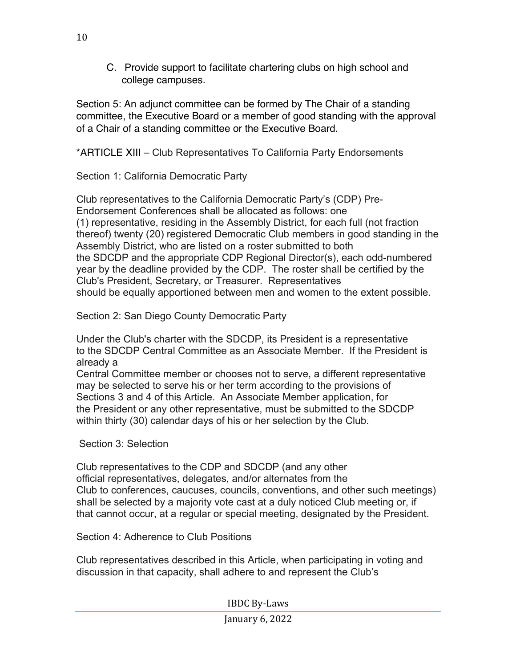C. Provide support to facilitate chartering clubs on high school and college campuses.

Section 5: An adjunct committee can be formed by The Chair of a standing committee, the Executive Board or a member of good standing with the approval of a Chair of a standing committee or the Executive Board.

\*ARTICLE XIII – Club Representatives To California Party Endorsements

Section 1: California Democratic Party

Club representatives to the California Democratic Party's (CDP) Pre-Endorsement Conferences shall be allocated as follows: one (1) representative, residing in the Assembly District, for each full (not fraction thereof) twenty (20) registered Democratic Club members in good standing in the Assembly District, who are listed on a roster submitted to both the SDCDP and the appropriate CDP Regional Director(s), each odd-numbered year by the deadline provided by the CDP. The roster shall be certified by the Club's President, Secretary, or Treasurer. Representatives should be equally apportioned between men and women to the extent possible.

Section 2: San Diego County Democratic Party

Under the Club's charter with the SDCDP, its President is a representative to the SDCDP Central Committee as an Associate Member. If the President is already a

Central Committee member or chooses not to serve, a different representative may be selected to serve his or her term according to the provisions of Sections 3 and 4 of this Article. An Associate Member application, for the President or any other representative, must be submitted to the SDCDP within thirty (30) calendar days of his or her selection by the Club.

Section 3: Selection

Club representatives to the CDP and SDCDP (and any other official representatives, delegates, and/or alternates from the Club to conferences, caucuses, councils, conventions, and other such meetings) shall be selected by a majority vote cast at a duly noticed Club meeting or, if that cannot occur, at a regular or special meeting, designated by the President.

Section 4: Adherence to Club Positions

Club representatives described in this Article, when participating in voting and discussion in that capacity, shall adhere to and represent the Club's